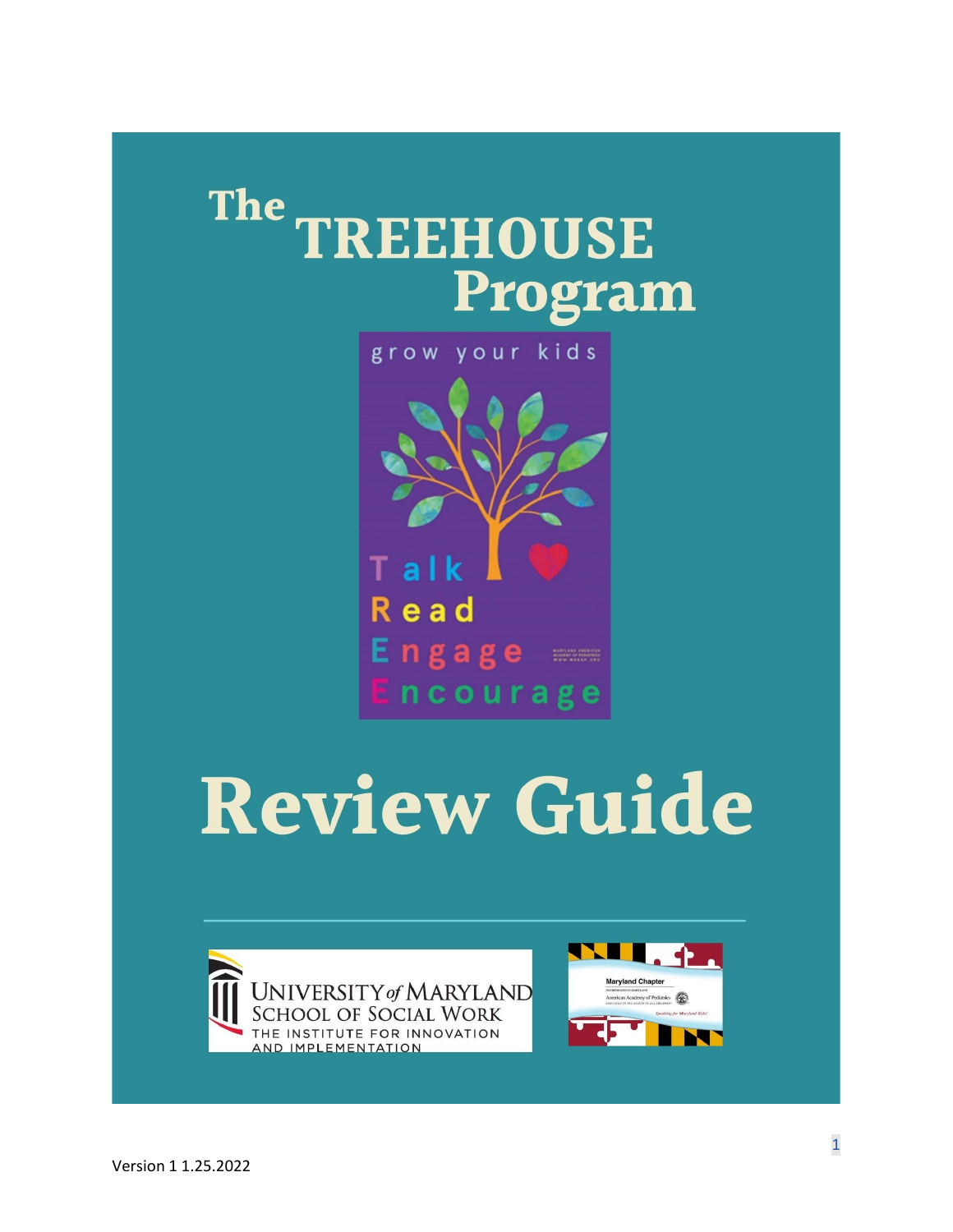# The TREEHOUSE Program

grow your kids



# **Review Guide**



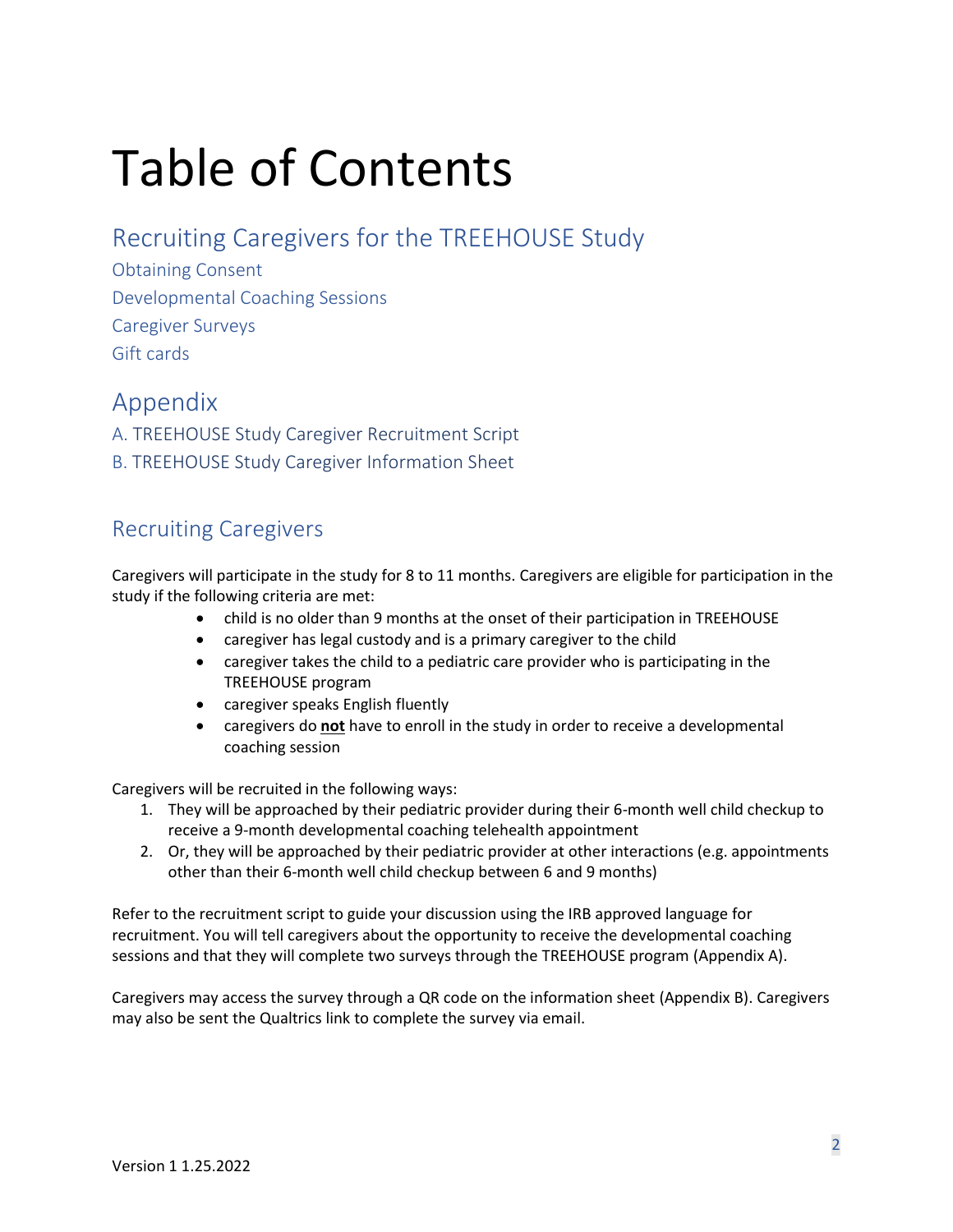# Table of Contents

# [Recruiting Caregivers](#page-1-0) for the TREEHOUSE Study

[Obtaining Consent](#page-2-0) Developmental Coaching Sessions [Caregiver Surveys](#page-2-1) Gift [cards](#page-3-0)

# Appendix

A. TREEHOUSE Study [Caregiver Recruitment Script](#page-3-1) B. TREEHOUSE Study [Caregiver Information Sheet](#page-5-0)

# <span id="page-1-0"></span>Recruiting Caregivers

Caregivers will participate in the study for 8 to 11 months. Caregivers are eligible for participation in the study if the following criteria are met:

- child is no older than 9 months at the onset of their participation in TREEHOUSE
- caregiver has legal custody and is a primary caregiver to the child
- caregiver takes the child to a pediatric care provider who is participating in the TREEHOUSE program
- caregiver speaks English fluently
- caregivers do **not** have to enroll in the study in order to receive a developmental coaching session

Caregivers will be recruited in the following ways:

- 1. They will be approached by their pediatric provider during their 6-month well child checkup to receive a 9-month developmental coaching telehealth appointment
- 2. Or, they will be approached by their pediatric provider at other interactions (e.g. appointments other than their 6-month well child checkup between 6 and 9 months)

Refer to the recruitment script to guide your discussion using the IRB approved language for recruitment. You will tell caregivers about the opportunity to receive the developmental coaching sessions and that they will complete two surveys through the TREEHOUSE program (Appendix A).

Caregivers may access the survey through a QR code on the information sheet (Appendix B). Caregivers may also be sent the Qualtrics link to complete the survey via email.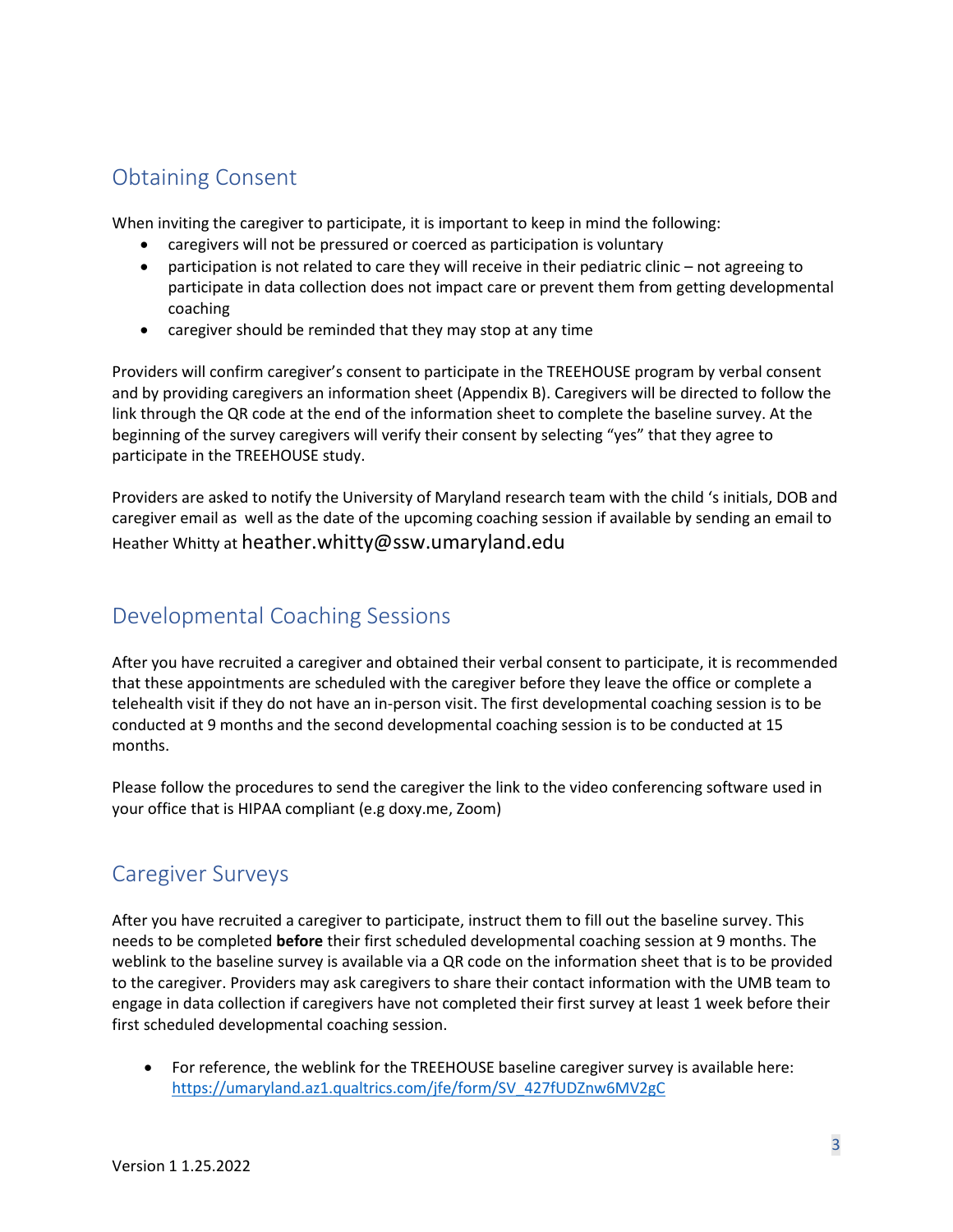# <span id="page-2-0"></span>Obtaining Consent

When inviting the caregiver to participate, it is important to keep in mind the following:

- caregivers will not be pressured or coerced as participation is voluntary
- participation is not related to care they will receive in their pediatric clinic not agreeing to participate in data collection does not impact care or prevent them from getting developmental coaching
- caregiver should be reminded that they may stop at any time

Providers will confirm caregiver's consent to participate in the TREEHOUSE program by verbal consent and by providing caregivers an information sheet (Appendix B). Caregivers will be directed to follow the link through the QR code at the end of the information sheet to complete the baseline survey. At the beginning of the survey caregivers will verify their consent by selecting "yes" that they agree to participate in the TREEHOUSE study.

Providers are asked to notify the University of Maryland research team with the child 's initials, DOB and caregiver email as well as the date of the upcoming coaching session if available by sending an email to Heather Whitty at heather.whitty@ssw.umaryland.edu

## Developmental Coaching Sessions

After you have recruited a caregiver and obtained their verbal consent to participate, it is recommended that these appointments are scheduled with the caregiver before they leave the office or complete a telehealth visit if they do not have an in-person visit. The first developmental coaching session is to be conducted at 9 months and the second developmental coaching session is to be conducted at 15 months.

Please follow the procedures to send the caregiver the link to the video conferencing software used in your office that is HIPAA compliant (e.g doxy.me, Zoom)

# <span id="page-2-1"></span>Caregiver Surveys

After you have recruited a caregiver to participate, instruct them to fill out the baseline survey. This needs to be completed **before** their first scheduled developmental coaching session at 9 months. The weblink to the baseline survey is available via a QR code on the information sheet that is to be provided to the caregiver. Providers may ask caregivers to share their contact information with the UMB team to engage in data collection if caregivers have not completed their first survey at least 1 week before their first scheduled developmental coaching session.

• For reference, the weblink for the TREEHOUSE baseline caregiver survey is available here: [https://umaryland.az1.qualtrics.com/jfe/form/SV\\_427fUDZnw6MV2gC](https://umaryland.az1.qualtrics.com/jfe/form/SV_427fUDZnw6MV2gC)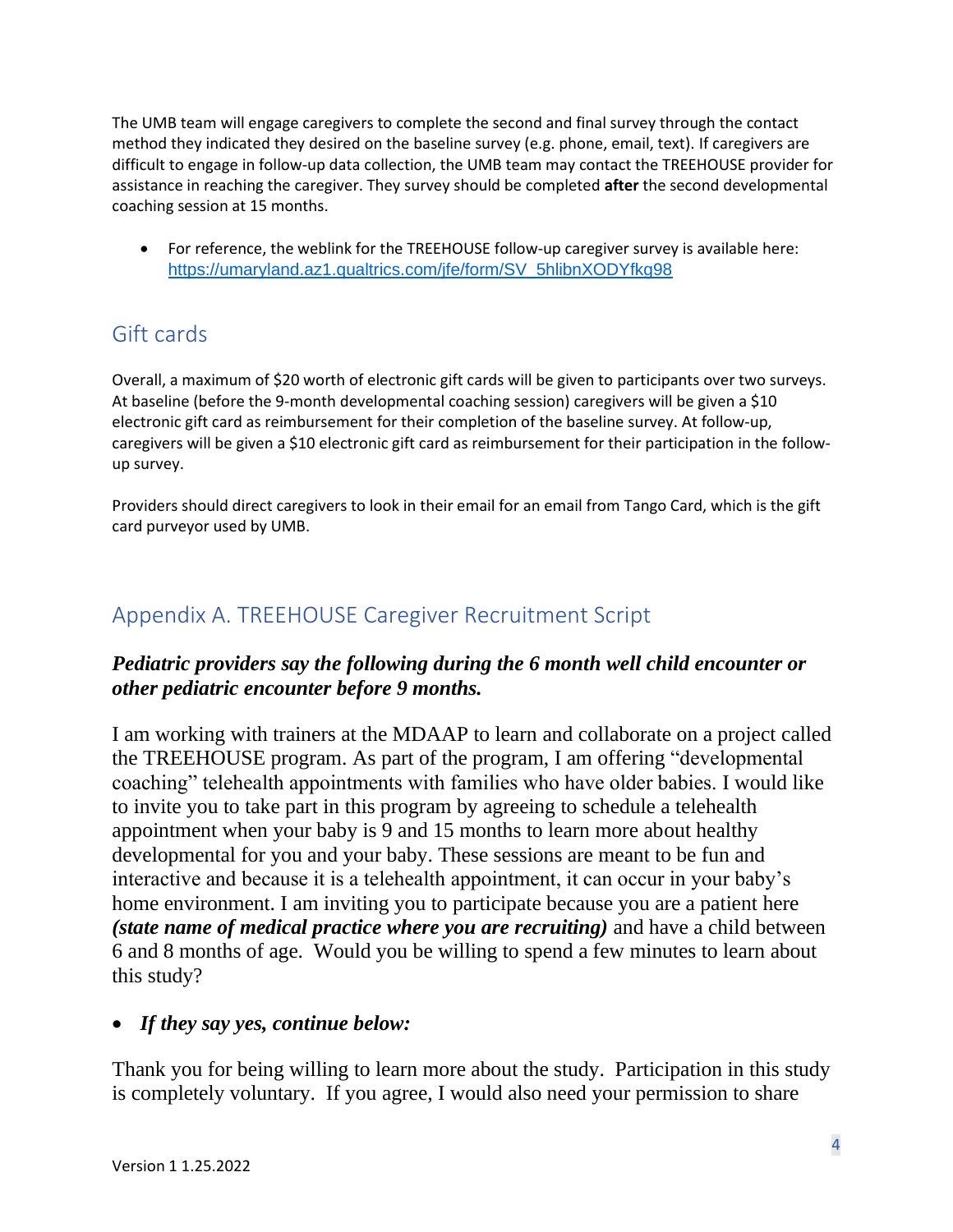The UMB team will engage caregivers to complete the second and final survey through the contact method they indicated they desired on the baseline survey (e.g. phone, email, text). If caregivers are difficult to engage in follow-up data collection, the UMB team may contact the TREEHOUSE provider for assistance in reaching the caregiver. They survey should be completed **after** the second developmental coaching session at 15 months.

• For reference, the weblink for the TREEHOUSE follow-up caregiver survey is available here: [https://umaryland.az1.qualtrics.com/jfe/form/SV\\_5hlibnXODYfkg98](https://umaryland.az1.qualtrics.com/jfe/form/SV_5hlibnXODYfkg98)

# <span id="page-3-0"></span>Gift cards

Overall, a maximum of \$20 worth of electronic gift cards will be given to participants over two surveys. At baseline (before the 9-month developmental coaching session) caregivers will be given a \$10 electronic gift card as reimbursement for their completion of the baseline survey. At follow-up, caregivers will be given a \$10 electronic gift card as reimbursement for their participation in the followup survey.

Providers should direct caregivers to look in their email for an email from Tango Card, which is the gift card purveyor used by UMB.

# <span id="page-3-1"></span>Appendix A. TREEHOUSE Caregiver Recruitment Script

## *Pediatric providers say the following during the 6 month well child encounter or other pediatric encounter before 9 months.*

I am working with trainers at the MDAAP to learn and collaborate on a project called the TREEHOUSE program. As part of the program, I am offering "developmental coaching" telehealth appointments with families who have older babies. I would like to invite you to take part in this program by agreeing to schedule a telehealth appointment when your baby is 9 and 15 months to learn more about healthy developmental for you and your baby. These sessions are meant to be fun and interactive and because it is a telehealth appointment, it can occur in your baby's home environment. I am inviting you to participate because you are a patient here *(state name of medical practice where you are recruiting)* and have a child between 6 and 8 months of age. Would you be willing to spend a few minutes to learn about this study?

## • *If they say yes, continue below:*

Thank you for being willing to learn more about the study. Participation in this study is completely voluntary. If you agree, I would also need your permission to share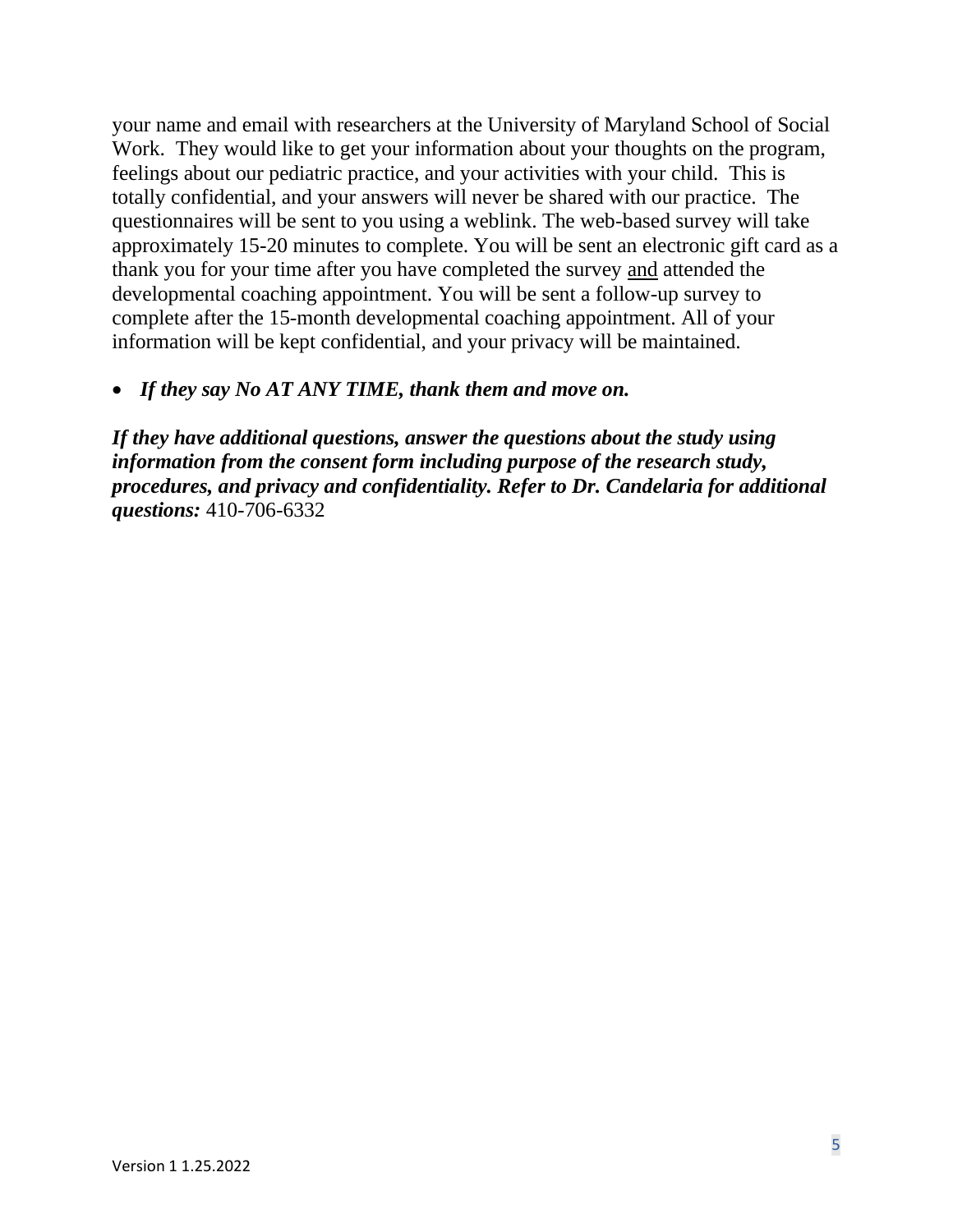your name and email with researchers at the University of Maryland School of Social Work. They would like to get your information about your thoughts on the program, feelings about our pediatric practice, and your activities with your child. This is totally confidential, and your answers will never be shared with our practice. The questionnaires will be sent to you using a weblink. The web-based survey will take approximately 15-20 minutes to complete. You will be sent an electronic gift card as a thank you for your time after you have completed the survey and attended the developmental coaching appointment. You will be sent a follow-up survey to complete after the 15-month developmental coaching appointment. All of your information will be kept confidential, and your privacy will be maintained.

#### • *If they say No AT ANY TIME, thank them and move on.*

*If they have additional questions, answer the questions about the study using information from the consent form including purpose of the research study, procedures, and privacy and confidentiality. Refer to Dr. Candelaria for additional questions:* 410-706-6332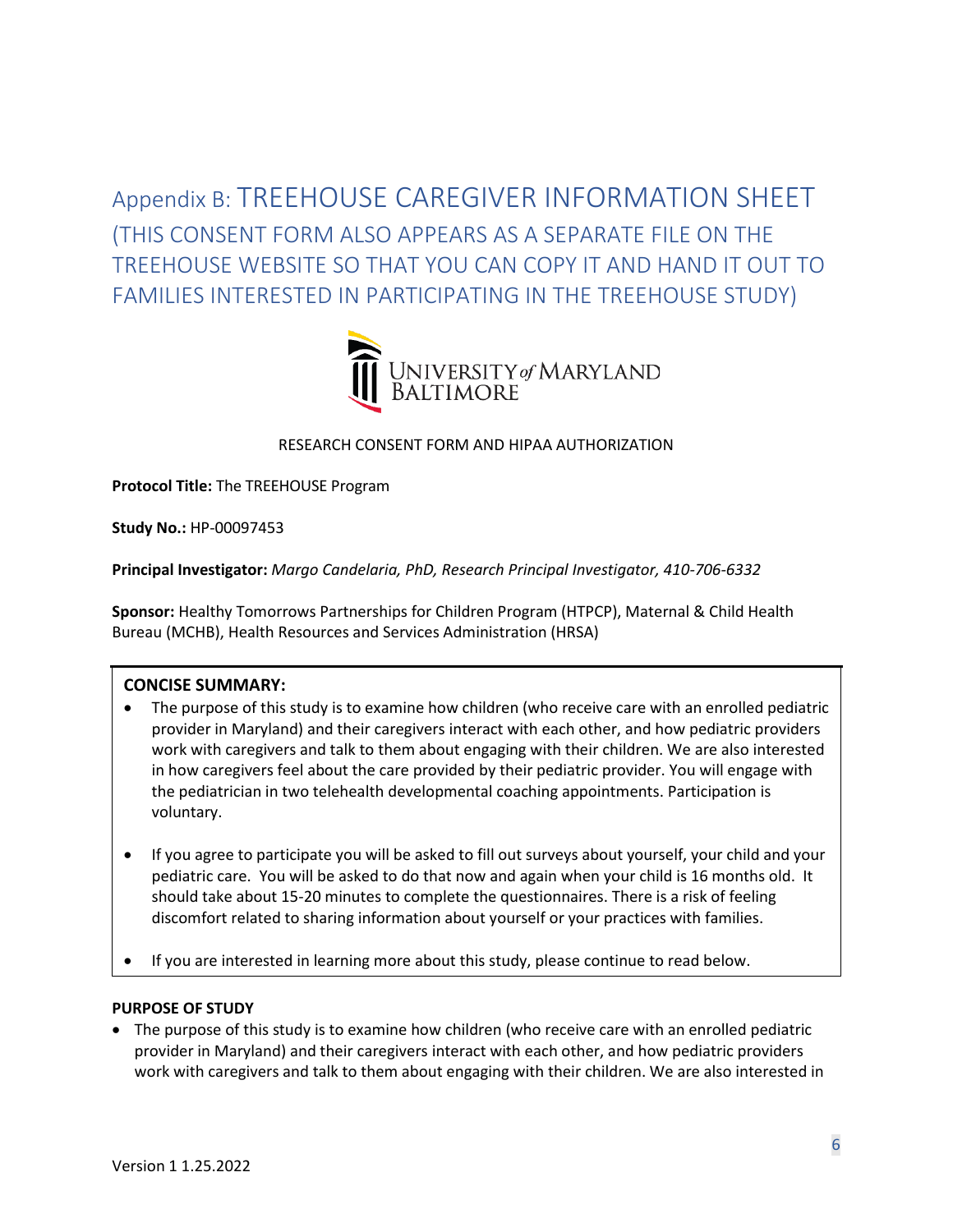<span id="page-5-0"></span>Appendix B: TREEHOUSE CAREGIVER INFORMATION SHEET (THIS CONSENT FORM ALSO APPEARS AS A SEPARATE FILE ON THE TREEHOUSE WEBSITE SO THAT YOU CAN COPY IT AND HAND IT OUT TO FAMILIES INTERESTED IN PARTICIPATING IN THE TREEHOUSE STUDY)



#### RESEARCH CONSENT FORM AND HIPAA AUTHORIZATION

**Protocol Title:** The TREEHOUSE Program

**Study No.:** HP-00097453

**Principal Investigator:** *Margo Candelaria, PhD, Research Principal Investigator, 410-706-6332*

**Sponsor:** Healthy Tomorrows Partnerships for Children Program (HTPCP), Maternal & Child Health Bureau (MCHB), Health Resources and Services Administration (HRSA)

#### **CONCISE SUMMARY:**

- The purpose of this study is to examine how children (who receive care with an enrolled pediatric provider in Maryland) and their caregivers interact with each other, and how pediatric providers work with caregivers and talk to them about engaging with their children. We are also interested in how caregivers feel about the care provided by their pediatric provider. You will engage with the pediatrician in two telehealth developmental coaching appointments. Participation is voluntary.
- If you agree to participate you will be asked to fill out surveys about yourself, your child and your pediatric care. You will be asked to do that now and again when your child is 16 months old. It should take about 15-20 minutes to complete the questionnaires. There is a risk of feeling discomfort related to sharing information about yourself or your practices with families.
- If you are interested in learning more about this study, please continue to read below.

#### **PURPOSE OF STUDY**

• The purpose of this study is to examine how children (who receive care with an enrolled pediatric provider in Maryland) and their caregivers interact with each other, and how pediatric providers work with caregivers and talk to them about engaging with their children. We are also interested in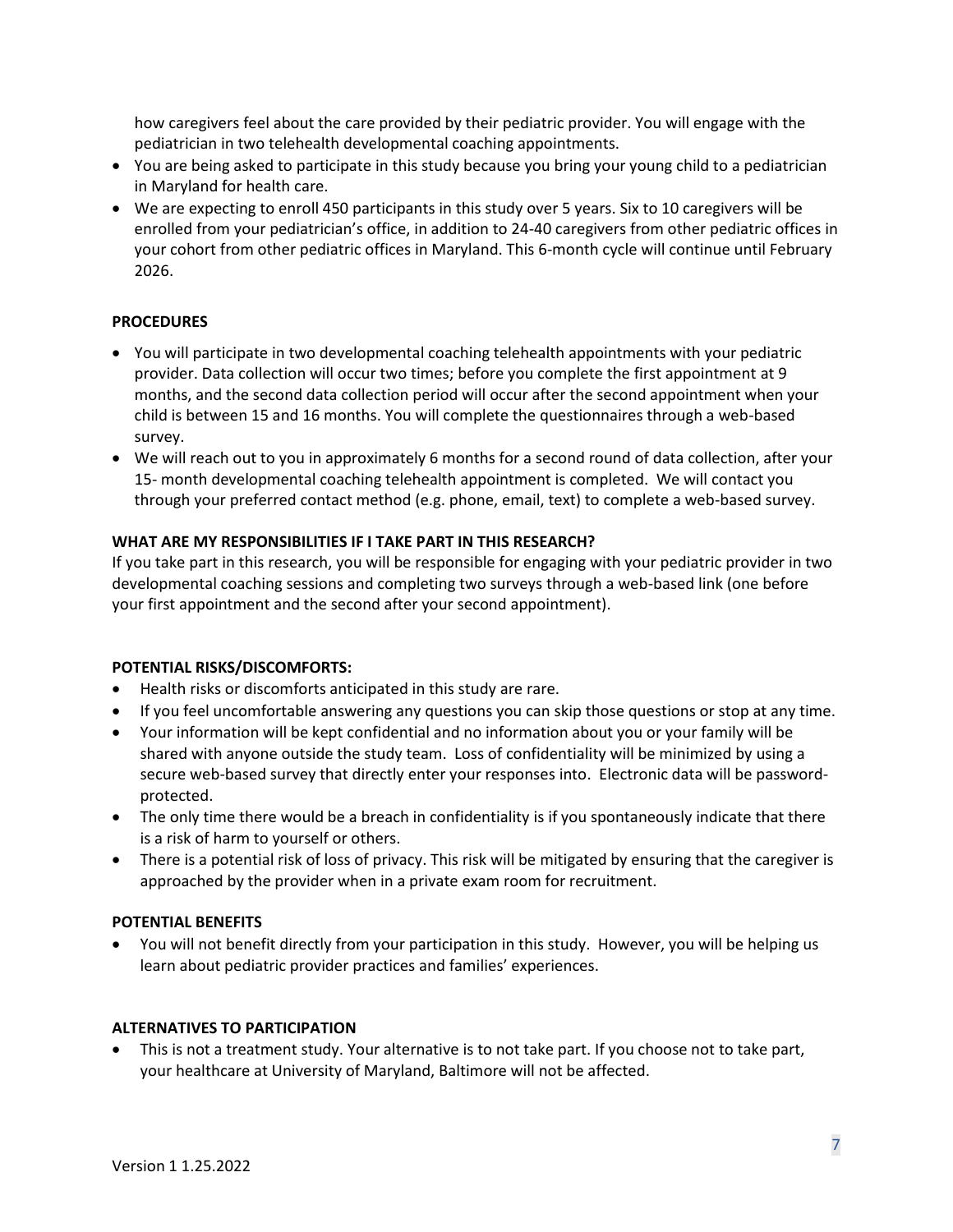how caregivers feel about the care provided by their pediatric provider. You will engage with the pediatrician in two telehealth developmental coaching appointments.

- You are being asked to participate in this study because you bring your young child to a pediatrician in Maryland for health care.
- We are expecting to enroll 450 participants in this study over 5 years. Six to 10 caregivers will be enrolled from your pediatrician's office, in addition to 24-40 caregivers from other pediatric offices in your cohort from other pediatric offices in Maryland. This 6-month cycle will continue until February 2026.

#### **PROCEDURES**

- You will participate in two developmental coaching telehealth appointments with your pediatric provider. Data collection will occur two times; before you complete the first appointment at 9 months, and the second data collection period will occur after the second appointment when your child is between 15 and 16 months. You will complete the questionnaires through a web-based survey.
- We will reach out to you in approximately 6 months for a second round of data collection, after your 15- month developmental coaching telehealth appointment is completed. We will contact you through your preferred contact method (e.g. phone, email, text) to complete a web-based survey.

#### **WHAT ARE MY RESPONSIBILITIES IF I TAKE PART IN THIS RESEARCH?**

If you take part in this research, you will be responsible for engaging with your pediatric provider in two developmental coaching sessions and completing two surveys through a web-based link (one before your first appointment and the second after your second appointment).

#### **POTENTIAL RISKS/DISCOMFORTS:**

- Health risks or discomforts anticipated in this study are rare.
- If you feel uncomfortable answering any questions you can skip those questions or stop at any time.
- Your information will be kept confidential and no information about you or your family will be shared with anyone outside the study team. Loss of confidentiality will be minimized by using a secure web-based survey that directly enter your responses into. Electronic data will be passwordprotected.
- The only time there would be a breach in confidentiality is if you spontaneously indicate that there is a risk of harm to yourself or others.
- There is a potential risk of loss of privacy. This risk will be mitigated by ensuring that the caregiver is approached by the provider when in a private exam room for recruitment.

#### **POTENTIAL BENEFITS**

• You will not benefit directly from your participation in this study. However, you will be helping us learn about pediatric provider practices and families' experiences.

#### **ALTERNATIVES TO PARTICIPATION**

• This is not a treatment study. Your alternative is to not take part. If you choose not to take part, your healthcare at University of Maryland, Baltimore will not be affected.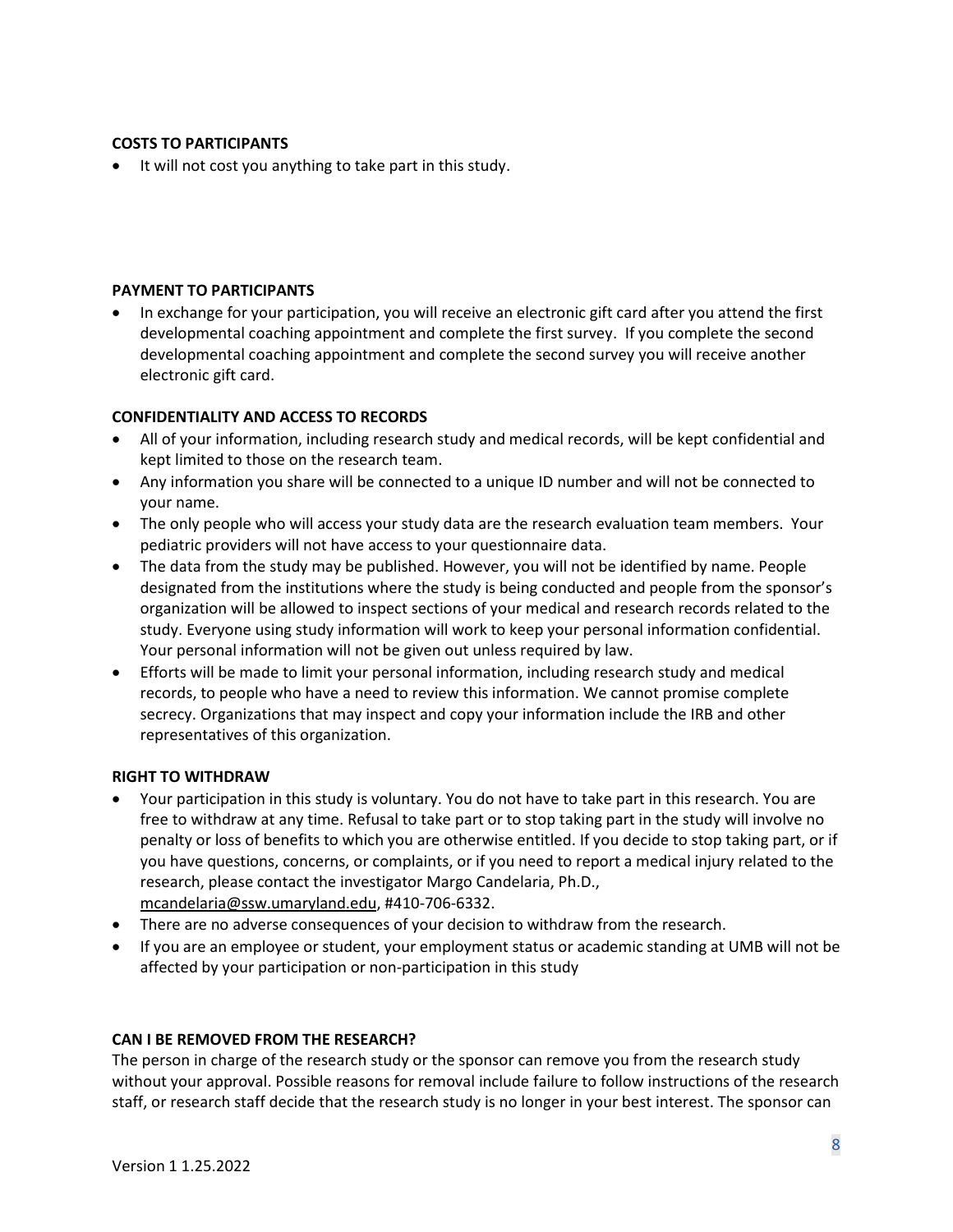#### **COSTS TO PARTICIPANTS**

• It will not cost you anything to take part in this study.

#### **PAYMENT TO PARTICIPANTS**

• In exchange for your participation, you will receive an electronic gift card after you attend the first developmental coaching appointment and complete the first survey. If you complete the second developmental coaching appointment and complete the second survey you will receive another electronic gift card.

#### **CONFIDENTIALITY AND ACCESS TO RECORDS**

- All of your information, including research study and medical records, will be kept confidential and kept limited to those on the research team.
- Any information you share will be connected to a unique ID number and will not be connected to your name.
- The only people who will access your study data are the research evaluation team members. Your pediatric providers will not have access to your questionnaire data.
- The data from the study may be published. However, you will not be identified by name. People designated from the institutions where the study is being conducted and people from the sponsor's organization will be allowed to inspect sections of your medical and research records related to the study. Everyone using study information will work to keep your personal information confidential. Your personal information will not be given out unless required by law.
- Efforts will be made to limit your personal information, including research study and medical records, to people who have a need to review this information. We cannot promise complete secrecy. Organizations that may inspect and copy your information include the IRB and other representatives of this organization.

#### **RIGHT TO WITHDRAW**

- Your participation in this study is voluntary. You do not have to take part in this research. You are free to withdraw at any time. Refusal to take part or to stop taking part in the study will involve no penalty or loss of benefits to which you are otherwise entitled. If you decide to stop taking part, or if you have questions, concerns, or complaints, or if you need to report a medical injury related to the research, please contact the investigator Margo Candelaria, Ph.D., [mcandelaria@ssw.umaryland.edu,](mailto:mcandelaria@ssw.umaryland.edu) #410-706-6332.
- There are no adverse consequences of your decision to withdraw from the research.
- If you are an employee or student, your employment status or academic standing at UMB will not be affected by your participation or non-participation in this study

#### **CAN I BE REMOVED FROM THE RESEARCH?**

The person in charge of the research study or the sponsor can remove you from the research study without your approval. Possible reasons for removal include failure to follow instructions of the research staff, or research staff decide that the research study is no longer in your best interest. The sponsor can